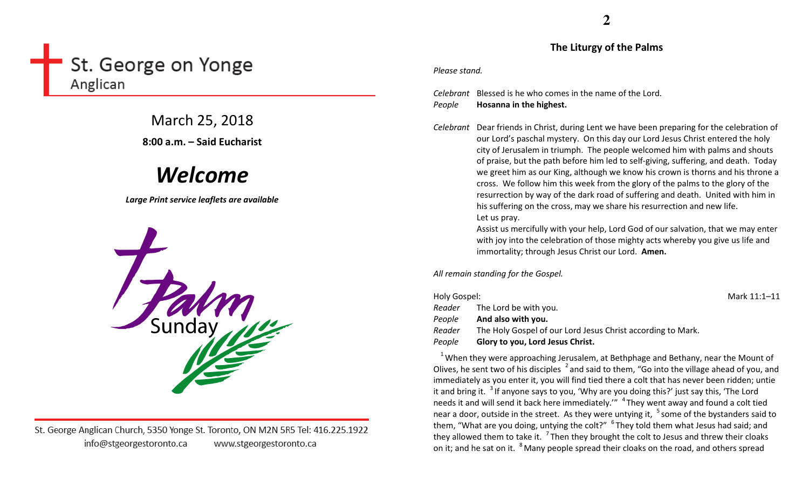# St. George on Yonge Anglican

March 25, 2018 8:00 a.m. – Said Eucharist

# Welcome

Large Print service leaflets are available



St. George Anglican Church, 5350 Yonge St. Toronto, ON M2N 5R5 Tel: 416.225.1922 info@stgeorgestoronto.ca www.stgeorgestoronto.ca

The Liturgy of the Palms

#### Please stand.

Celebrant Blessed is he who comes in the name of the Lord. PeopleHosanna in the highest.

Celebrant Dear friends in Christ, during Lent we have been preparing for the celebration of our Lord's paschal mystery. On this day our Lord Jesus Christ entered the holy city of Jerusalem in triumph. The people welcomed him with palms and shouts of praise, but the path before him led to self-giving, suffering, and death. Today we greet him as our King, although we know his crown is thorns and his throne a cross. We follow him this week from the glory of the palms to the glory of the resurrection by way of the dark road of suffering and death. United with him in his suffering on the cross, may we share his resurrection and new life. Let us pray.

> Assist us mercifully with your help, Lord God of our salvation, that we may enter with joy into the celebration of those mighty acts whereby you give us life and immortality; through Jesus Christ our Lord. Amen.

All remain standing for the Gospel.

| Holy Gospel: |                                                             | Mark 11:1-11 |
|--------------|-------------------------------------------------------------|--------------|
| Reader       | The Lord be with you.                                       |              |
| People       | And also with you.                                          |              |
| Reader       | The Holy Gospel of our Lord Jesus Christ according to Mark. |              |
| People       | Glory to you, Lord Jesus Christ.                            |              |

<sup>1</sup> When they were approaching Jerusalem, at Bethphage and Bethany, near the Mount of Olives, he sent two of his disciples  $\frac{2}{3}$  and said to them, "Go into the village ahead of you, and immediately as you enter it, you will find tied there a colt that has never been ridden; untie it and bring it.  $31$  if anyone says to you, 'Why are you doing this?' just say this, 'The Lord needs it and will send it back here immediately.'"  $4$  They went away and found a colt tied near a door, outside in the street. As they were untying it,  $5$  some of the bystanders said to them, "What are you doing, untying the colt?"  $6$  They told them what Jesus had said; and they allowed them to take it.  $7$  Then they brought the colt to Jesus and threw their cloaks on it; and he sat on it. <sup>8</sup> Many people spread their cloaks on the road, and others spread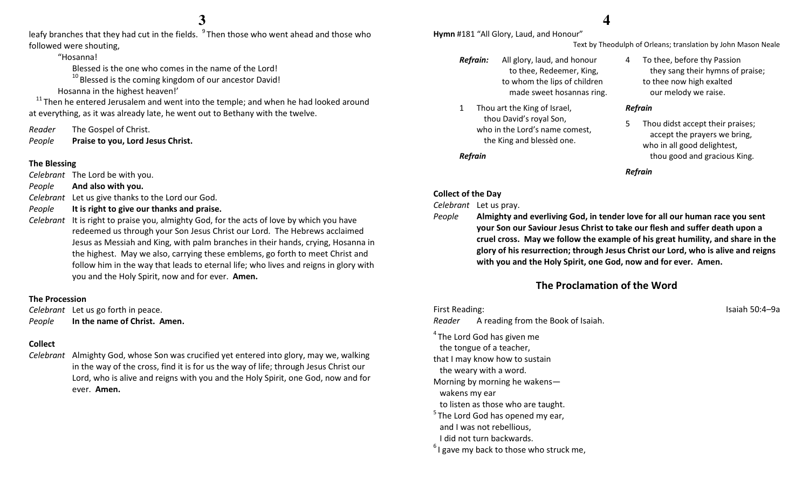leafy branches that they had cut in the fields. <sup>9</sup>Then those who went ahead and those who followed were shouting,

"Hosanna!

Blessed is the one who comes in the name of the Lord!

 $^{10}$  Blessed is the coming kingdom of our ancestor David!

Hosanna in the highest heaven!'

 $11$ Then he entered Jerusalem and went into the temple; and when he had looked around at everything, as it was already late, he went out to Bethany with the twelve.

Reader The Gospel of Christ.

PeoplePraise to you, Lord Jesus Christ.

#### The Blessing

Celebrant The Lord be with you.

- PeopleAnd also with you.
- Celebrant Let us give thanks to the Lord our God.
- PeopleIt is right to give our thanks and praise.
- Celebrant It is right to praise you, almighty God, for the acts of love by which you have redeemed us through your Son Jesus Christ our Lord. The Hebrews acclaimed Jesus as Messiah and King, with palm branches in their hands, crying, Hosanna in the highest. May we also, carrying these emblems, go forth to meet Christ and follow him in the way that leads to eternal life; who lives and reigns in glory with you and the Holy Spirit, now and for ever. Amen.

#### The Procession

Celebrant Let us go forth in peace. PeopleIn the name of Christ. Amen.

#### Collect

Celebrant Almighty God, whose Son was crucified yet entered into glory, may we, walking in the way of the cross, find it is for us the way of life; through Jesus Christ our Lord, who is alive and reigns with you and the Holy Spirit, one God, now and for ever. Amen.

### **4**

Hymn #181 "All Glory, Laud, and Honour"

- Refrain: All glory, laud, and honourto thee, Redeemer, King, to whom the lips of children made sweet hosannas ring.
- 1 Thou art the King of Israel, thou David's royal Son, who in the Lord's name comest, the King and blessèd one.

#### Refrain

#### Collect of the Day

Celebrant Let us pray.

People

 Almighty and everliving God, in tender love for all our human race you sent your Son our Saviour Jesus Christ to take our flesh and suffer death upon a cruel cross. May we follow the example of his great humility, and share in the glory of his resurrection; through Jesus Christ our Lord, who is alive and reigns with you and the Holy Spirit, one God, now and for ever. Amen.

#### The Proclamation of the Word

First Reading: Isaiah 50:4–9a

Reader A reading from the Book of Isaiah.

- <sup>4</sup> The Lord God has given me the tongue of a teacher, that I may know how to sustain
- the weary with a word.
- Morning by morning he wakens—
- wakens my ear
- to listen as those who are taught.
- $<sup>5</sup>$ The Lord God has opened my ear,</sup> and I was not rebellious,
- I did not turn backwards.
- $<sup>6</sup>$ I gave my back to those who struck me,</sup>

4 To thee, before thy Passion they sang their hymns of praise; to thee now high exalted our melody we raise.

Text by Theodulph of Orleans; translation by John Mason Neale

#### Refrain

5 Thou didst accept their praises; accept the prayers we bring, who in all good delightest, thou good and gracious King.

Refrain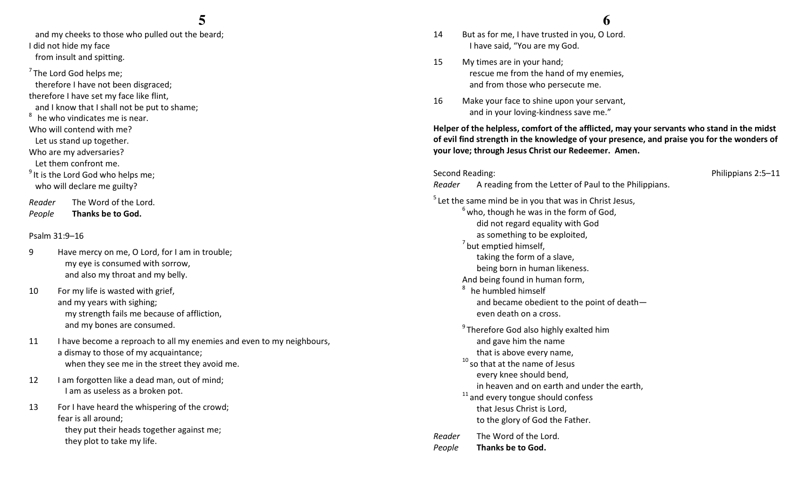## **5**

 and my cheeks to those who pulled out the beard;I did not hide my face from insult and spitting.

 $7$ The Lord God helps me; therefore I have not been disgraced; therefore I have set my face like flint, and I know that I shall not be put to shame;  $8<sup>8</sup>$  he who vindicates me is near. Who will contend with me? Let us stand up together. Who are my adversaries? Let them confront me.  $^9$  It is the Lord God who helps me; who will declare me guilty? Reader The Word of the Lord.

PeopleThanks be to God.

#### Psalm 31:9–16

- 9 Have mercy on me, O Lord, for I am in trouble; my eye is consumed with sorrow, and also my throat and my belly.
- 10 For my life is wasted with grief, and my years with sighing; my strength fails me because of affliction, and my bones are consumed.
- 11 I have become a reproach to all my enemies and even to my neighbours, a dismay to those of my acquaintance; when they see me in the street they avoid me.
- 12 I am forgotten like a dead man, out of mind; I am as useless as a broken pot.
- 13 For I have heard the whispering of the crowd; fear is all around; they put their heads together against me; they plot to take my life.

#### **6**

- 14 But as for me, I have trusted in you, O Lord. I have said, "You are my God.
- 15 My times are in your hand; rescue me from the hand of my enemies, and from those who persecute me.
- 16 Make your face to shine upon your servant, and in your loving-kindness save me."

Helper of the helpless, comfort of the afflicted, may your servants who stand in the midst of evil find strength in the knowledge of your presence, and praise you for the wonders of your love; through Jesus Christ our Redeemer. Amen.

Second Reading: The Contract of the Contract of the Philippians 2:5–11 Reader A reading from the Letter of Paul to the Philippians.  $<sup>5</sup>$  Let the same mind be in you that was in Christ Jesus,</sup>  $6$  who, though he was in the form of God, did not regard equality with God as something to be exploited,  $<sup>7</sup>$  but emptied himself,</sup> taking the form of a slave, being born in human likeness. And being found in human form,  $8<sup>8</sup>$  he humbled himself and became obedient to the point of death even death on a cross.  $9$ Therefore God also highly exalted him and gave him the name that is above every name,  $^{10}$  so that at the name of Jesus every knee should bend, in heaven and on earth and under the earth,  $11$  and every tongue should confess that Jesus Christ is Lord, to the glory of God the Father. Reader The Word of the Lord. PeopleThanks be to God.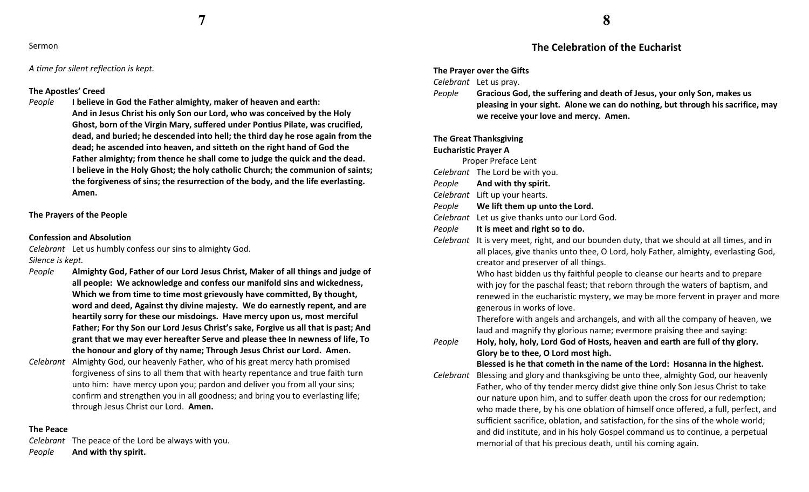**7**

#### Sermon

A time for silent reflection is kept.

#### The Apostles' Creed

People I believe in God the Father almighty, maker of heaven and earth: And in Jesus Christ his only Son our Lord, who was conceived by the Holy Ghost, born of the Virgin Mary, suffered under Pontius Pilate, was crucified, dead, and buried; he descended into hell; the third day he rose again from the dead; he ascended into heaven, and sitteth on the right hand of God the Father almighty; from thence he shall come to judge the quick and the dead. I believe in the Holy Ghost; the holy catholic Church; the communion of saints; the forgiveness of sins; the resurrection of the body, and the life everlasting. Amen.

#### The Prayers of the People

#### Confession and Absolution

Celebrant Let us humbly confess our sins to almighty God. Silence is kept.

- People Almighty God, Father of our Lord Jesus Christ, Maker of all things and judge of all people: We acknowledge and confess our manifold sins and wickedness, Which we from time to time most grievously have committed, By thought, word and deed, Against thy divine majesty. We do earnestly repent, and are heartily sorry for these our misdoings. Have mercy upon us, most merciful Father; For thy Son our Lord Jesus Christ's sake, Forgive us all that is past; And grant that we may ever hereafter Serve and please thee In newness of life, To the honour and glory of thy name; Through Jesus Christ our Lord. Amen.
- Celebrant Almighty God, our heavenly Father, who of his great mercy hath promised forgiveness of sins to all them that with hearty repentance and true faith turn unto him: have mercy upon you; pardon and deliver you from all your sins; confirm and strengthen you in all goodness; and bring you to everlasting life; through Jesus Christ our Lord. Amen.

#### The Peace

Celebrant The peace of the Lord be always with you. PeopleAnd with thy spirit.

#### The Celebration of the Eucharist

#### The Prayer over the Gifts

Celebrant Let us pray.

People Gracious God, the suffering and death of Jesus, your only Son, makes us pleasing in your sight. Alone we can do nothing, but through his sacrifice, may we receive your love and mercy. Amen.

#### The Great Thanksgiving

#### Eucharistic Prayer A

- Proper Preface Lent
- Celebrant The Lord be with you.
- PeopleAnd with thy spirit.
- Celebrant Lift up your hearts.
- PeopleWe lift them up unto the Lord.
- Celebrant Let us give thanks unto our Lord God.
- PeopleIt is meet and right so to do.
- Celebrant It is very meet, right, and our bounden duty, that we should at all times, and in all places, give thanks unto thee, O Lord, holy Father, almighty, everlasting God, creator and preserver of all things.

Who hast bidden us thy faithful people to cleanse our hearts and to prepare with joy for the paschal feast; that reborn through the waters of baptism, and renewed in the eucharistic mystery, we may be more fervent in prayer and more generous in works of love.

Therefore with angels and archangels, and with all the company of heaven, we laud and magnify thy glorious name; evermore praising thee and saying:

People Holy, holy, holy, Lord God of Hosts, heaven and earth are full of thy glory. Glory be to thee, O Lord most high.

#### Blessed is he that cometh in the name of the Lord: Hosanna in the highest.

Celebrant Blessing and glory and thanksgiving be unto thee, almighty God, our heavenly Father, who of thy tender mercy didst give thine only Son Jesus Christ to take our nature upon him, and to suffer death upon the cross for our redemption; who made there, by his one oblation of himself once offered, a full, perfect, and sufficient sacrifice, oblation, and satisfaction, for the sins of the whole world; and did institute, and in his holy Gospel command us to continue, a perpetual memorial of that his precious death, until his coming again.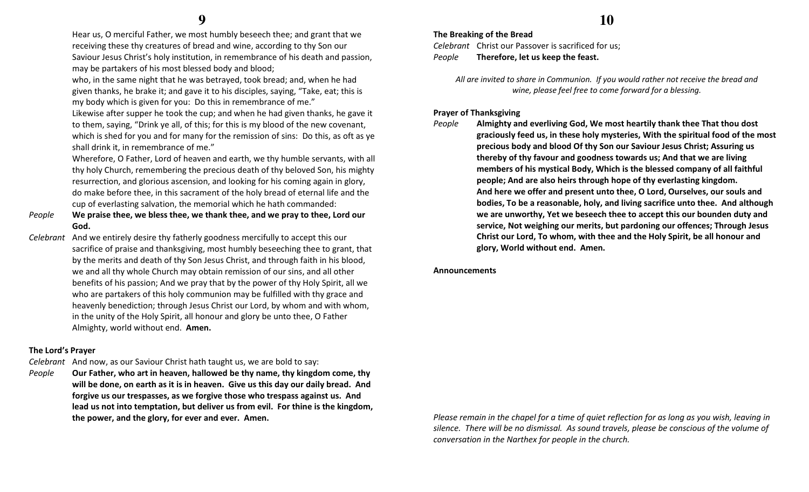Hear us, O merciful Father, we most humbly beseech thee; and grant that we receiving these thy creatures of bread and wine, according to thy Son our Saviour Jesus Christ's holy institution, in remembrance of his death and passion, may be partakers of his most blessed body and blood;

who, in the same night that he was betrayed, took bread; and, when he had given thanks, he brake it; and gave it to his disciples, saying, "Take, eat; this is my body which is given for you: Do this in remembrance of me."

Likewise after supper he took the cup; and when he had given thanks, he gave it to them, saying, "Drink ye all, of this; for this is my blood of the new covenant, which is shed for you and for many for the remission of sins: Do this, as oft as ye shall drink it, in remembrance of me."

Wherefore, O Father, Lord of heaven and earth, we thy humble servants, with all thy holy Church, remembering the precious death of thy beloved Son, his mighty resurrection, and glorious ascension, and looking for his coming again in glory, do make before thee, in this sacrament of the holy bread of eternal life and the cup of everlasting salvation, the memorial which he hath commanded:

- People We praise thee, we bless thee, we thank thee, and we pray to thee, Lord our God.
- Celebrant And we entirely desire thy fatherly goodness mercifully to accept this our sacrifice of praise and thanksgiving, most humbly beseeching thee to grant, that by the merits and death of thy Son Jesus Christ, and through faith in his blood, we and all thy whole Church may obtain remission of our sins, and all other benefits of his passion; And we pray that by the power of thy Holy Spirit, all we who are partakers of this holy communion may be fulfilled with thy grace and heavenly benediction; through Jesus Christ our Lord, by whom and with whom, in the unity of the Holy Spirit, all honour and glory be unto thee, O Father Almighty, world without end. Amen.

#### The Lord's Prayer

Celebrant And now, as our Saviour Christ hath taught us, we are bold to say:

People Our Father, who art in heaven, hallowed be thy name, thy kingdom come, thy will be done, on earth as it is in heaven. Give us this day our daily bread. And forgive us our trespasses, as we forgive those who trespass against us. And lead us not into temptation, but deliver us from evil. For thine is the kingdom, the power, and the glory, for ever and ever. Amen.

## **10**

The Breaking of the Bread Celebrant Christ our Passover is sacrificed for us; PeopleTherefore, let us keep the feast.

> All are invited to share in Communion. If you would rather not receive the bread and wine, please feel free to come forward for a blessing.

#### Prayer of Thanksgiving

People

 Almighty and everliving God, We most heartily thank thee That thou dost graciously feed us, in these holy mysteries, With the spiritual food of the most precious body and blood Of thy Son our Saviour Jesus Christ; Assuring us thereby of thy favour and goodness towards us; And that we are living members of his mystical Body, Which is the blessed company of all faithful people; And are also heirs through hope of thy everlasting kingdom. And here we offer and present unto thee, O Lord, Ourselves, our souls and bodies, To be a reasonable, holy, and living sacrifice unto thee. And although we are unworthy, Yet we beseech thee to accept this our bounden duty and service, Not weighing our merits, but pardoning our offences; Through Jesus Christ our Lord, To whom, with thee and the Holy Spirit, be all honour and glory, World without end. Amen.

#### Announcements

Please remain in the chapel for a time of quiet reflection for as long as you wish, leaving in silence. There will be no dismissal. As sound travels, please be conscious of the volume of conversation in the Narthex for people in the church.